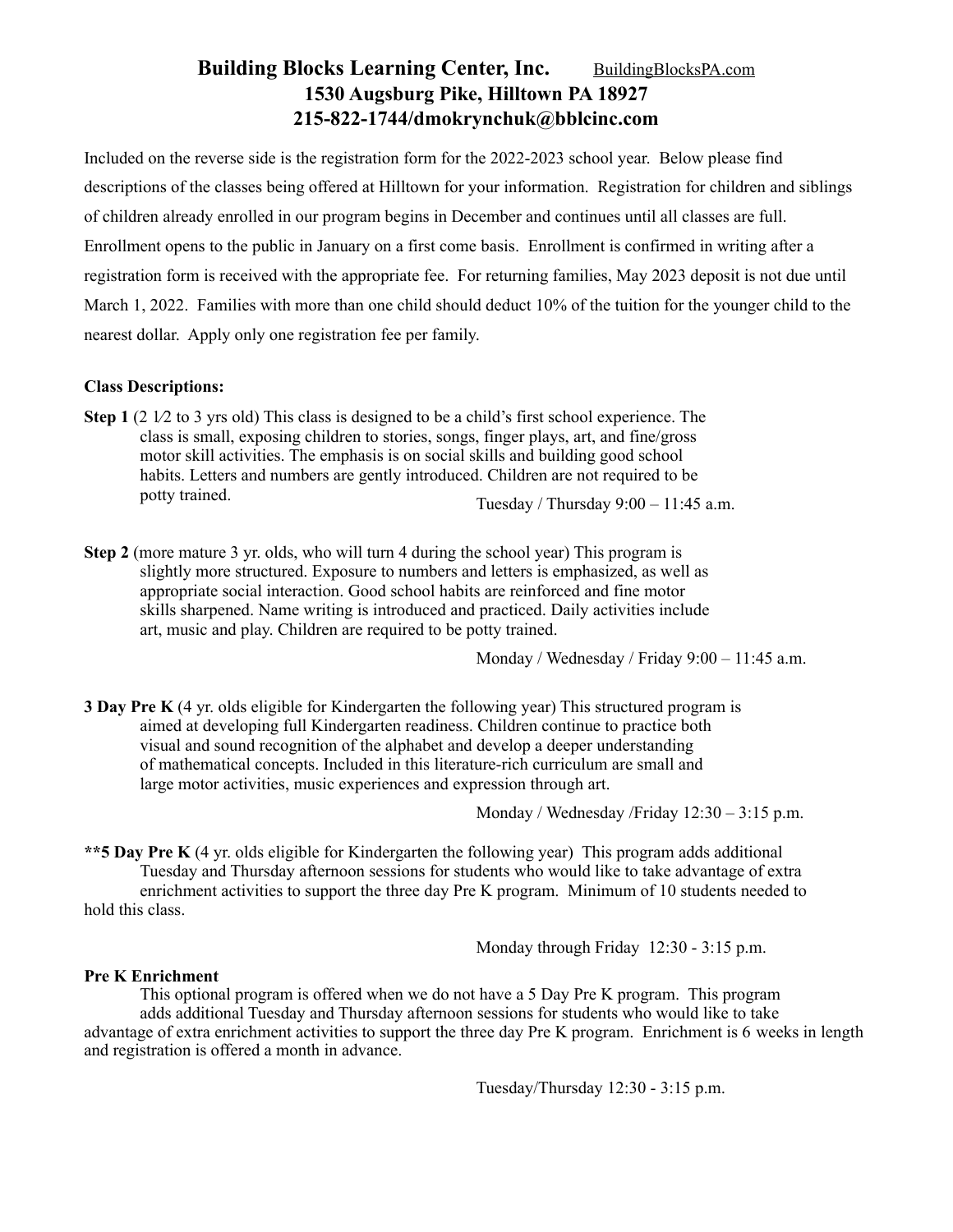## **Building Blocks Learning Center, Inc.** [BuildingBlocksPA.com](http://BuildingBlocksPA.com) **1530 Augsburg Pike, Hilltown PA 18927 215-822-1744/dmokrynchuk@bblcinc.com**

Included on the reverse side is the registration form for the 2022-2023 school year. Below please find descriptions of the classes being offered at Hilltown for your information. Registration for children and siblings of children already enrolled in our program begins in December and continues until all classes are full. Enrollment opens to the public in January on a first come basis. Enrollment is confirmed in writing after a registration form is received with the appropriate fee. For returning families, May 2023 deposit is not due until March 1, 2022. Families with more than one child should deduct 10% of the tuition for the younger child to the nearest dollar. Apply only one registration fee per family.

## **Class Descriptions:**

- **Step 1** (2 1/2 to 3 yrs old) This class is designed to be a child's first school experience. The class is small, exposing children to stories, songs, finger plays, art, and fine/gross motor skill activities. The emphasis is on social skills and building good school habits. Letters and numbers are gently introduced. Children are not required to be potty trained.<br>Tuesday / Thursday 9:00 – 11:45 a.m.
- **Step 2** (more mature 3 yr. olds, who will turn 4 during the school year) This program is slightly more structured. Exposure to numbers and letters is emphasized, as well as appropriate social interaction. Good school habits are reinforced and fine motor skills sharpened. Name writing is introduced and practiced. Daily activities include art, music and play. Children are required to be potty trained.

Monday / Wednesday / Friday 9:00 – 11:45 a.m.

**3 Day Pre K** (4 yr. olds eligible for Kindergarten the following year) This structured program is aimed at developing full Kindergarten readiness. Children continue to practice both visual and sound recognition of the alphabet and develop a deeper understanding of mathematical concepts. Included in this literature-rich curriculum are small and large motor activities, music experiences and expression through art.

Monday / Wednesday /Friday 12:30 – 3:15 p.m.

**\*\*5 Day Pre K** (4 yr. olds eligible for Kindergarten the following year) This program adds additional Tuesday and Thursday afternoon sessions for students who would like to take advantage of extra enrichment activities to support the three day Pre K program. Minimum of 10 students needed to hold this class.

Monday through Friday 12:30 - 3:15 p.m.

## **Pre K Enrichment**

 This optional program is offered when we do not have a 5 Day Pre K program. This program adds additional Tuesday and Thursday afternoon sessions for students who would like to take advantage of extra enrichment activities to support the three day Pre K program. Enrichment is 6 weeks in length and registration is offered a month in advance.

Tuesday/Thursday 12:30 - 3:15 p.m.